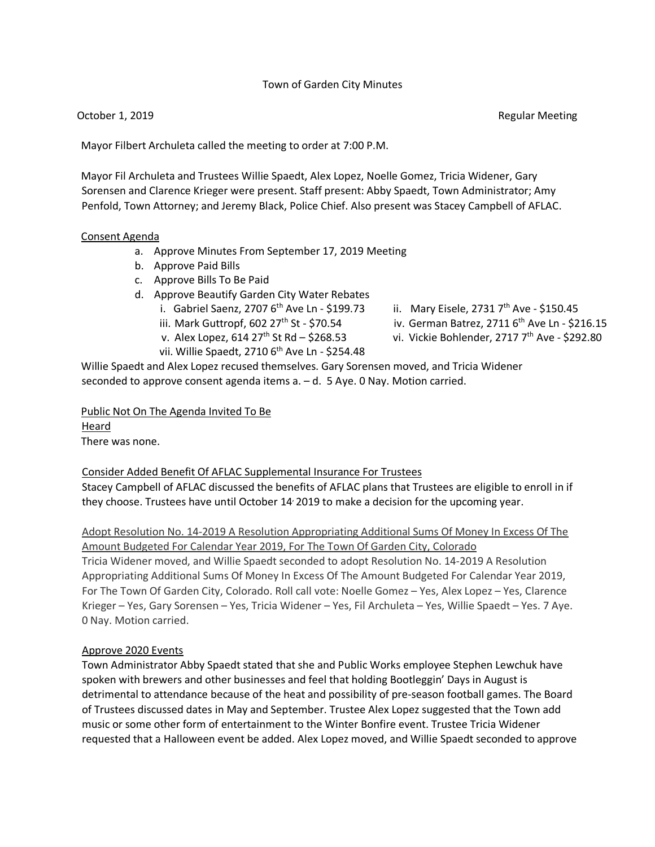#### Town of Garden City Minutes

October 1, 2019 **Regular Meeting** Construction of the Construction of the Regular Meeting

Mayor Filbert Archuleta called the meeting to order at 7:00 P.M.

Mayor Fil Archuleta and Trustees Willie Spaedt, Alex Lopez, Noelle Gomez, Tricia Widener, Gary Sorensen and Clarence Krieger were present. Staff present: Abby Spaedt, Town Administrator; Amy Penfold, Town Attorney; and Jeremy Black, Police Chief. Also present was Stacey Campbell of AFLAC.

#### Consent Agenda

- a. Approve Minutes From September 17, 2019 Meeting
- b. Approve Paid Bills
- c. Approve Bills To Be Paid
- d. Approve Beautify Garden City Water Rebates
	-
	-
	-
	- vii. Willie Spaedt, 2710 6<sup>th</sup> Ave Ln \$254.48
	- i. Gabriel Saenz, 2707 6<sup>th</sup> Ave Ln \$199.73 ii. Mary Eisele, 2731 7<sup>th</sup> Ave \$150.45
	- iii. Mark Guttropf, 602  $27<sup>th</sup>$  St \$70.54 iv. German Batrez, 2711  $6<sup>th</sup>$  Ave Ln \$216.15
	- v. Alex Lopez, 614  $27^{th}$  St Rd \$268.53 vi. Vickie Bohlender, 2717  $7^{th}$  Ave \$292.80

Willie Spaedt and Alex Lopez recused themselves. Gary Sorensen moved, and Tricia Widener seconded to approve consent agenda items a. – d. 5 Aye. 0 Nay. Motion carried.

Public Not On The Agenda Invited To Be Heard There was none.

## Consider Added Benefit Of AFLAC Supplemental Insurance For Trustees

Stacey Campbell of AFLAC discussed the benefits of AFLAC plans that Trustees are eligible to enroll in if they choose. Trustees have until October 14, 2019 to make a decision for the upcoming year.

Adopt Resolution No. 14-2019 A Resolution Appropriating Additional Sums Of Money In Excess Of The Amount Budgeted For Calendar Year 2019, For The Town Of Garden City, Colorado Tricia Widener moved, and Willie Spaedt seconded to adopt Resolution No. 14-2019 A Resolution Appropriating Additional Sums Of Money In Excess Of The Amount Budgeted For Calendar Year 2019, For The Town Of Garden City, Colorado. Roll call vote: Noelle Gomez – Yes, Alex Lopez – Yes, Clarence Krieger – Yes, Gary Sorensen – Yes, Tricia Widener – Yes, Fil Archuleta – Yes, Willie Spaedt – Yes. 7 Aye. 0 Nay. Motion carried.

## Approve 2020 Events

Town Administrator Abby Spaedt stated that she and Public Works employee Stephen Lewchuk have spoken with brewers and other businesses and feel that holding Bootleggin' Days in August is detrimental to attendance because of the heat and possibility of pre-season football games. The Board of Trustees discussed dates in May and September. Trustee Alex Lopez suggested that the Town add music or some other form of entertainment to the Winter Bonfire event. Trustee Tricia Widener requested that a Halloween event be added. Alex Lopez moved, and Willie Spaedt seconded to approve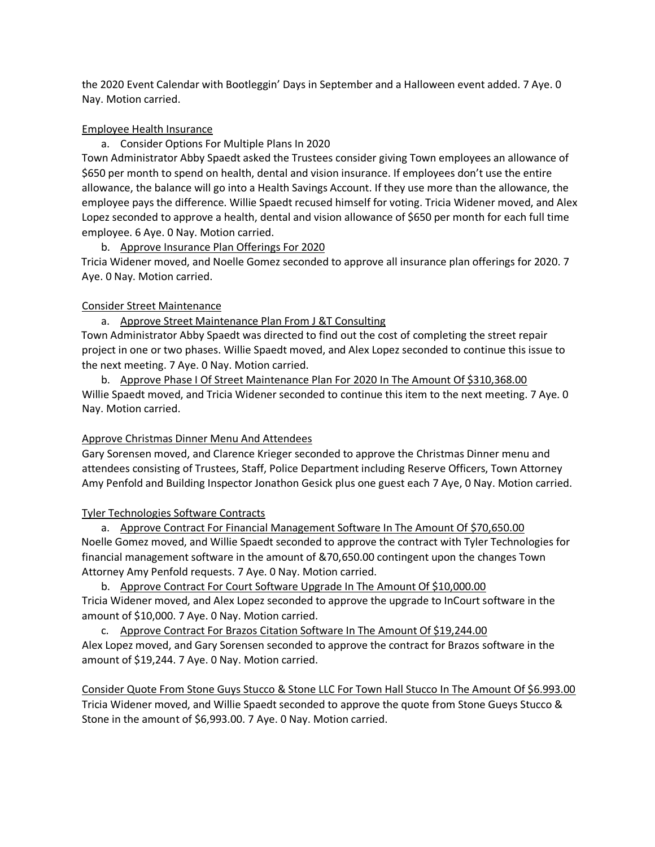the 2020 Event Calendar with Bootleggin' Days in September and a Halloween event added. 7 Aye. 0 Nay. Motion carried.

#### Employee Health Insurance

a. Consider Options For Multiple Plans In 2020

Town Administrator Abby Spaedt asked the Trustees consider giving Town employees an allowance of \$650 per month to spend on health, dental and vision insurance. If employees don't use the entire allowance, the balance will go into a Health Savings Account. If they use more than the allowance, the employee pays the difference. Willie Spaedt recused himself for voting. Tricia Widener moved, and Alex Lopez seconded to approve a health, dental and vision allowance of \$650 per month for each full time employee. 6 Aye. 0 Nay. Motion carried.

#### b. Approve Insurance Plan Offerings For 2020

Tricia Widener moved, and Noelle Gomez seconded to approve all insurance plan offerings for 2020. 7 Aye. 0 Nay. Motion carried.

#### Consider Street Maintenance

a. Approve Street Maintenance Plan From J &T Consulting Town Administrator Abby Spaedt was directed to find out the cost of completing the street repair project in one or two phases. Willie Spaedt moved, and Alex Lopez seconded to continue this issue to the next meeting. 7 Aye. 0 Nay. Motion carried.

b. Approve Phase I Of Street Maintenance Plan For 2020 In The Amount Of \$310,368.00 Willie Spaedt moved, and Tricia Widener seconded to continue this item to the next meeting. 7 Aye. 0 Nay. Motion carried.

## Approve Christmas Dinner Menu And Attendees

Gary Sorensen moved, and Clarence Krieger seconded to approve the Christmas Dinner menu and attendees consisting of Trustees, Staff, Police Department including Reserve Officers, Town Attorney Amy Penfold and Building Inspector Jonathon Gesick plus one guest each 7 Aye, 0 Nay. Motion carried.

## Tyler Technologies Software Contracts

a. Approve Contract For Financial Management Software In The Amount Of \$70,650.00 Noelle Gomez moved, and Willie Spaedt seconded to approve the contract with Tyler Technologies for financial management software in the amount of &70,650.00 contingent upon the changes Town Attorney Amy Penfold requests. 7 Aye. 0 Nay. Motion carried.

b. Approve Contract For Court Software Upgrade In The Amount Of \$10,000.00 Tricia Widener moved, and Alex Lopez seconded to approve the upgrade to InCourt software in the amount of \$10,000. 7 Aye. 0 Nay. Motion carried.

c. Approve Contract For Brazos Citation Software In The Amount Of \$19,244.00 Alex Lopez moved, and Gary Sorensen seconded to approve the contract for Brazos software in the amount of \$19,244. 7 Aye. 0 Nay. Motion carried.

Consider Quote From Stone Guys Stucco & Stone LLC For Town Hall Stucco In The Amount Of \$6.993.00 Tricia Widener moved, and Willie Spaedt seconded to approve the quote from Stone Gueys Stucco & Stone in the amount of \$6,993.00. 7 Aye. 0 Nay. Motion carried.